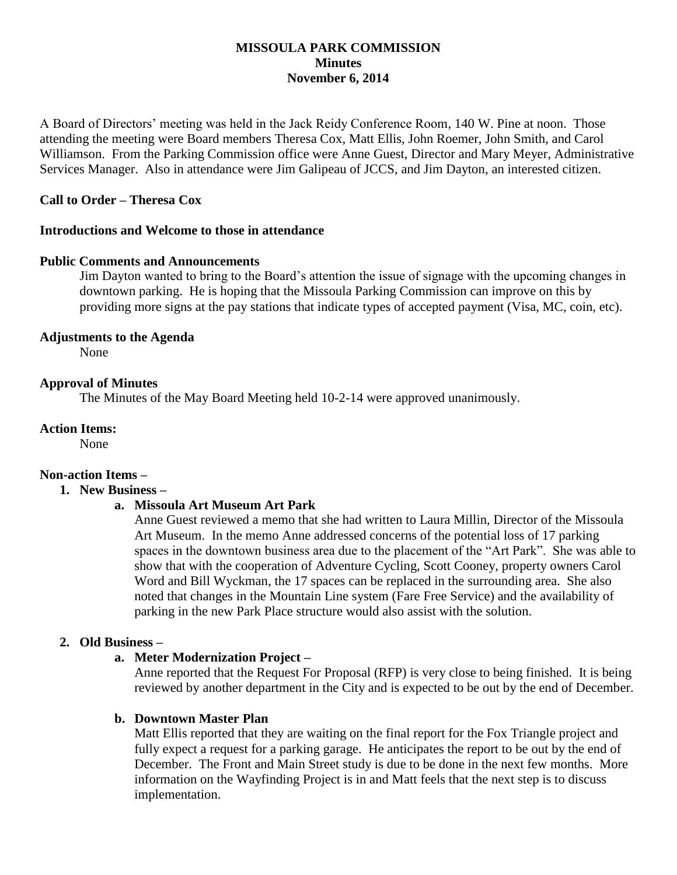#### **MISSOULA PARK COMMISSION Minutes November 6, 2014**

A Board of Directors' meeting was held in the Jack Reidy Conference Room, 140 W. Pine at noon. Those attending the meeting were Board members Theresa Cox, Matt Ellis, John Roemer, John Smith, and Carol Williamson. From the Parking Commission office were Anne Guest, Director and Mary Meyer, Administrative Services Manager. Also in attendance were Jim Galipeau of JCCS, and Jim Dayton, an interested citizen.

## **Call to Order – Theresa Cox**

#### **Introductions and Welcome to those in attendance**

#### **Public Comments and Announcements**

Jim Dayton wanted to bring to the Board's attention the issue of signage with the upcoming changes in downtown parking. He is hoping that the Missoula Parking Commission can improve on this by providing more signs at the pay stations that indicate types of accepted payment (Visa, MC, coin, etc).

#### **Adjustments to the Agenda**

None

#### **Approval of Minutes**

The Minutes of the May Board Meeting held 10-2-14 were approved unanimously.

#### **Action Items:**

None

# **Non-action Items –**

### **1. New Business –**

#### **a. Missoula Art Museum Art Park**

Anne Guest reviewed a memo that she had written to Laura Millin, Director of the Missoula Art Museum. In the memo Anne addressed concerns of the potential loss of 17 parking spaces in the downtown business area due to the placement of the "Art Park". She was able to show that with the cooperation of Adventure Cycling, Scott Cooney, property owners Carol Word and Bill Wyckman, the 17 spaces can be replaced in the surrounding area. She also noted that changes in the Mountain Line system (Fare Free Service) and the availability of parking in the new Park Place structure would also assist with the solution.

#### **2. Old Business –**

#### **a. Meter Modernization Project –**

Anne reported that the Request For Proposal (RFP) is very close to being finished. It is being reviewed by another department in the City and is expected to be out by the end of December.

#### **b. Downtown Master Plan**

Matt Ellis reported that they are waiting on the final report for the Fox Triangle project and fully expect a request for a parking garage. He anticipates the report to be out by the end of December. The Front and Main Street study is due to be done in the next few months. More information on the Wayfinding Project is in and Matt feels that the next step is to discuss implementation.